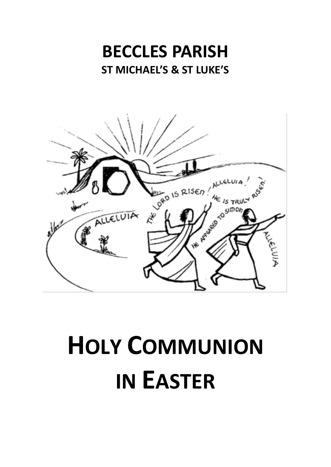# **BECCLES PARISH ST MICHAEL'S & ST LUKE'S**



# **HOLY COMMUNION IN EASTER**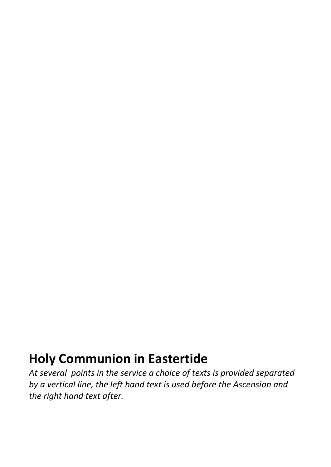## **Holy Communion in Eastertide**

*At several points in the service a choice of texts is provided separated by a vertical line, the left hand text is used before the Ascension and the right hand text after.*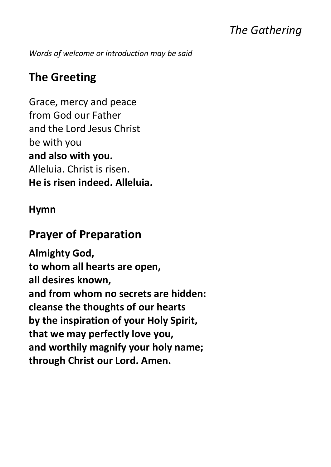## *The Gathering*

*Words of welcome or introduction may be said*

## **The Greeting**

Grace, mercy and peace from God our Father and the Lord Jesus Christ be with you **and also with you.** Alleluia. Christ is risen. **He is risen indeed. Alleluia.**

#### **Hymn**

#### **Prayer of Preparation**

**Almighty God, to whom all hearts are open, all desires known, and from whom no secrets are hidden: cleanse the thoughts of our hearts by the inspiration of your Holy Spirit, that we may perfectly love you, and worthily magnify your holy name; through Christ our Lord. Amen.**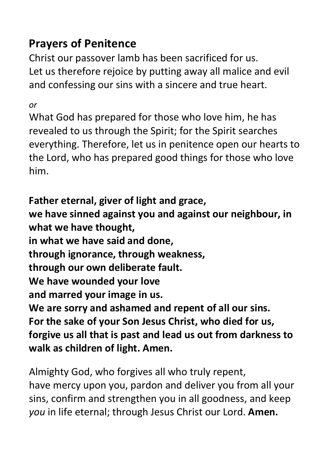## **Prayers of Penitence**

Christ our passover lamb has been sacrificed for us. Let us therefore rejoice by putting away all malice and evil and confessing our sins with a sincere and true heart.

*or*

What God has prepared for those who love him, he has revealed to us through the Spirit; for the Spirit searches everything. Therefore, let us in penitence open our hearts to the Lord, who has prepared good things for those who love him.

**Father eternal, giver of light and grace, we have sinned against you and against our neighbour, in what we have thought, in what we have said and done, through ignorance, through weakness, through our own deliberate fault. We have wounded your love and marred your image in us. We are sorry and ashamed and repent of all our sins. For the sake of your Son Jesus Christ, who died for us, forgive us all that is past and lead us out from darkness to walk as children of light. Amen.**

Almighty God, who forgives all who truly repent, have mercy upon you, pardon and deliver you from all your sins, confirm and strengthen you in all goodness, and keep *you* in life eternal; through Jesus Christ our Lord. **Amen.**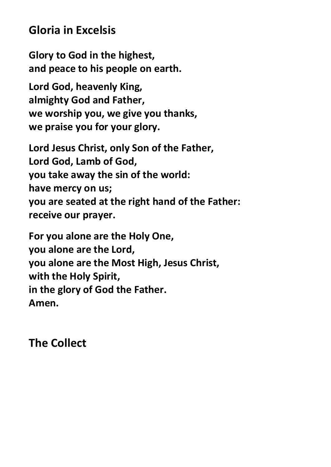#### **Gloria in Excelsis**

**Glory to God in the highest, and peace to his people on earth.**

**Lord God, heavenly King, almighty God and Father, we worship you, we give you thanks, we praise you for your glory.**

**Lord Jesus Christ, only Son of the Father, Lord God, Lamb of God, you take away the sin of the world: have mercy on us; you are seated at the right hand of the Father: receive our prayer.**

**For you alone are the Holy One, you alone are the Lord, you alone are the Most High, Jesus Christ, with the Holy Spirit, in the glory of God the Father. Amen.**

**The Collect**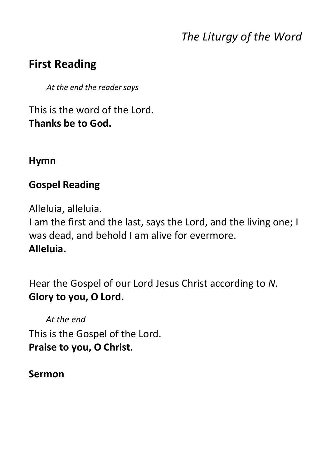## *The Liturgy of the Word*

## **First Reading**

*At the end the reader says*

This is the word of the Lord. **Thanks be to God.**

#### **Hymn**

#### **Gospel Reading**

Alleluia, alleluia.

I am the first and the last, says the Lord, and the living one; I was dead, and behold I am alive for evermore. **Alleluia.**

Hear the Gospel of our Lord Jesus Christ according to *N*. **Glory to you, O Lord.**

*At the end* This is the Gospel of the Lord. **Praise to you, O Christ.**

#### **Sermon**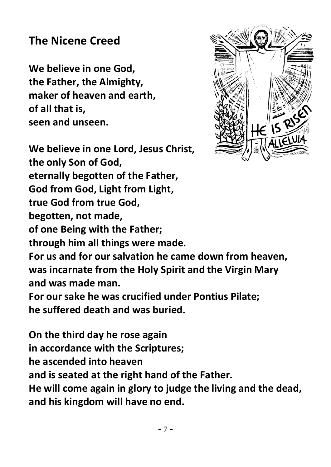## **The Nicene Creed**

**We believe in one God, the Father, the Almighty, maker of heaven and earth, of all that is, seen and unseen.**



**We believe in one Lord, Jesus Christ, the only Son of God, eternally begotten of the Father, God from God, Light from Light, true God from true God, begotten, not made, of one Being with the Father; through him all things were made. For us and for our salvation he came down from heaven, was incarnate from the Holy Spirit and the Virgin Mary and was made man. For our sake he was crucified under Pontius Pilate; he suffered death and was buried.**

**On the third day he rose again in accordance with the Scriptures; he ascended into heaven and is seated at the right hand of the Father. He will come again in glory to judge the living and the dead, and his kingdom will have no end.**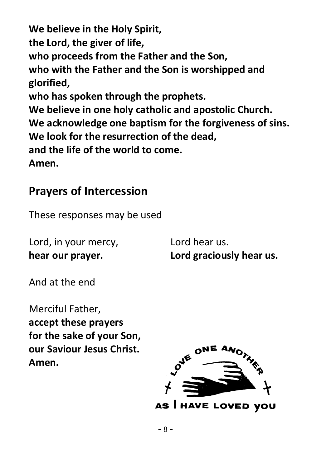**We believe in the Holy Spirit, the Lord, the giver of life, who proceeds from the Father and the Son, who with the Father and the Son is worshipped and glorified, who has spoken through the prophets. We believe in one holy catholic and apostolic Church. We acknowledge one baptism for the forgiveness of sins. We look for the resurrection of the dead, and the life of the world to come. Amen.**

## **Prayers of Intercession**

These responses may be used

Lord, in your mercy, Lord hear us.

**hear our prayer. Lord graciously hear us.**

And at the end

Merciful Father, **accept these prayers for the sake of your Son, our Saviour Jesus Christ. Amen.** 

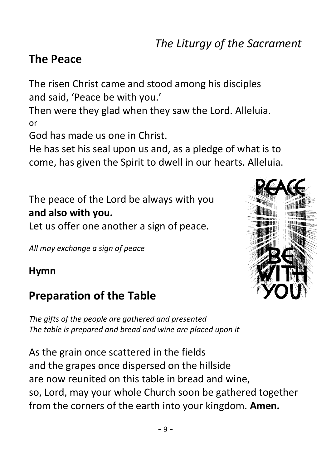### **The Peace**

The risen Christ came and stood among his disciples and said, 'Peace be with you.'

Then were they glad when they saw the Lord. Alleluia. or

God has made us one in Christ.

He has set his seal upon us and, as a pledge of what is to come, has given the Spirit to dwell in our hearts. Alleluia.

The peace of the Lord be always with you **and also with you.**

Let us offer one another a sign of peace.

*All may exchange a sign of peace*

#### **Hymn**

## **Preparation of the Table**

*The gifts of the people are gathered and presented The table is prepared and bread and wine are placed upon it*

As the grain once scattered in the fields and the grapes once dispersed on the hillside are now reunited on this table in bread and wine, so, Lord, may your whole Church soon be gathered together from the corners of the earth into your kingdom. **Amen.**

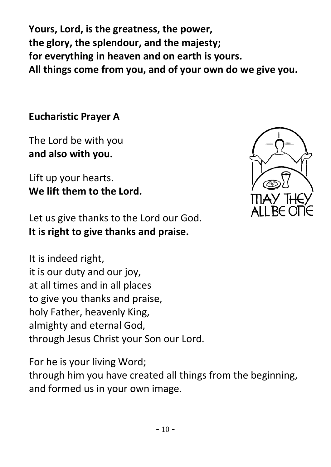**Yours, Lord, is the greatness, the power, the glory, the splendour, and the majesty; for everything in heaven and on earth is yours. All things come from you, and of your own do we give you.**

**Eucharistic Prayer A**

The Lord be with you **and also with you.**

Lift up your hearts. **We lift them to the Lord.**

Let us give thanks to the Lord our God. **It is right to give thanks and praise.**

It is indeed right, it is our duty and our joy, at all times and in all places to give you thanks and praise, holy Father, heavenly King, almighty and eternal God, through Jesus Christ your Son our Lord.

For he is your living Word; through him you have created all things from the beginning, and formed us in your own image.

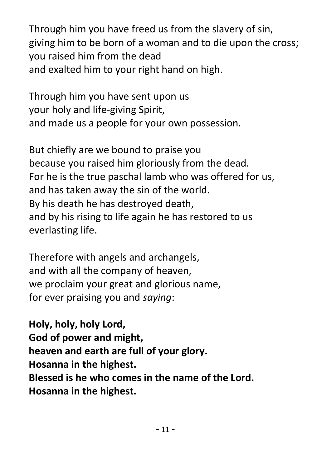Through him you have freed us from the slavery of sin, giving him to be born of a woman and to die upon the cross; you raised him from the dead and exalted him to your right hand on high.

Through him you have sent upon us your holy and life-giving Spirit, and made us a people for your own possession.

But chiefly are we bound to praise you because you raised him gloriously from the dead. For he is the true paschal lamb who was offered for us, and has taken away the sin of the world. By his death he has destroyed death, and by his rising to life again he has restored to us everlasting life.

Therefore with angels and archangels, and with all the company of heaven, we proclaim your great and glorious name, for ever praising you and *saying*:

**Holy, holy, holy Lord, God of power and might, heaven and earth are full of your glory. Hosanna in the highest. Blessed is he who comes in the name of the Lord. Hosanna in the highest.**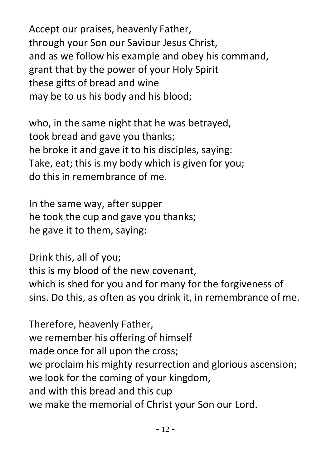Accept our praises, heavenly Father, through your Son our Saviour Jesus Christ, and as we follow his example and obey his command, grant that by the power of your Holy Spirit these gifts of bread and wine may be to us his body and his blood;

who, in the same night that he was betrayed, took bread and gave you thanks; he broke it and gave it to his disciples, saying: Take, eat; this is my body which is given for you; do this in remembrance of me.

In the same way, after supper he took the cup and gave you thanks; he gave it to them, saying:

Drink this, all of you; this is my blood of the new covenant, which is shed for you and for many for the forgiveness of sins. Do this, as often as you drink it, in remembrance of me.

Therefore, heavenly Father, we remember his offering of himself made once for all upon the cross; we proclaim his mighty resurrection and glorious ascension; we look for the coming of your kingdom, and with this bread and this cup we make the memorial of Christ your Son our Lord.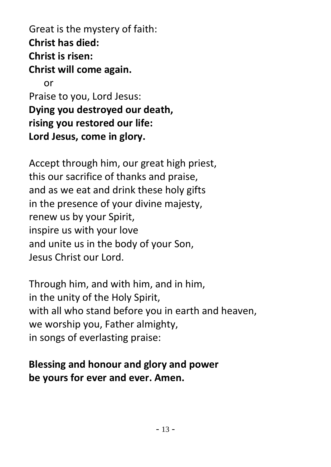Great is the mystery of faith: **Christ has died: Christ is risen: Christ will come again.** or Praise to you, Lord Jesus: **Dying you destroyed our death, rising you restored our life: Lord Jesus, come in glory.** 

Accept through him, our great high priest, this our sacrifice of thanks and praise, and as we eat and drink these holy gifts in the presence of your divine majesty, renew us by your Spirit, inspire us with your love and unite us in the body of your Son, Jesus Christ our Lord.

Through him, and with him, and in him, in the unity of the Holy Spirit, with all who stand before you in earth and heaven, we worship you, Father almighty, in songs of everlasting praise:

#### **Blessing and honour and glory and power be yours for ever and ever. Amen.**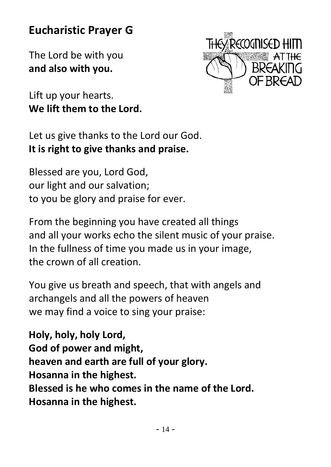## **Eucharistic Prayer G**

The Lord be with you **and also with you.**

Lift up your hearts. **We lift them to the Lord.**



Let us give thanks to the Lord our God. **It is right to give thanks and praise.**

Blessed are you, Lord God, our light and our salvation; to you be glory and praise for ever.

From the beginning you have created all things and all your works echo the silent music of your praise. In the fullness of time you made us in your image, the crown of all creation.

You give us breath and speech, that with angels and archangels and all the powers of heaven we may find a voice to sing your praise:

**Holy, holy, holy Lord, God of power and might, heaven and earth are full of your glory. Hosanna in the highest. Blessed is he who comes in the name of the Lord. Hosanna in the highest.**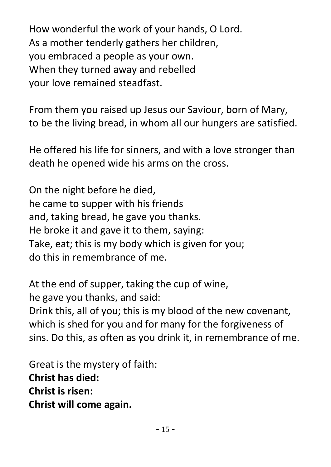How wonderful the work of your hands, O Lord. As a mother tenderly gathers her children, you embraced a people as your own. When they turned away and rebelled your love remained steadfast.

From them you raised up Jesus our Saviour, born of Mary, to be the living bread, in whom all our hungers are satisfied.

He offered his life for sinners, and with a love stronger than death he opened wide his arms on the cross.

On the night before he died, he came to supper with his friends and, taking bread, he gave you thanks. He broke it and gave it to them, saying: Take, eat; this is my body which is given for you; do this in remembrance of me.

At the end of supper, taking the cup of wine, he gave you thanks, and said:

Drink this, all of you; this is my blood of the new covenant, which is shed for you and for many for the forgiveness of sins. Do this, as often as you drink it, in remembrance of me.

Great is the mystery of faith: **Christ has died: Christ is risen: Christ will come again.**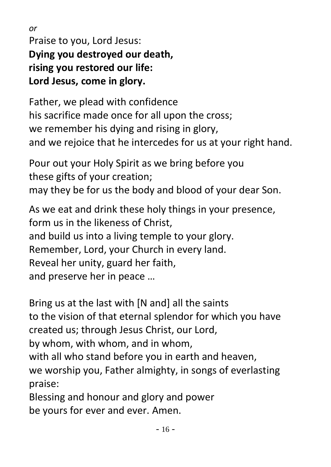*or* Praise to you, Lord Jesus: **Dying you destroyed our death, rising you restored our life: Lord Jesus, come in glory.**

Father, we plead with confidence his sacrifice made once for all upon the cross; we remember his dying and rising in glory, and we rejoice that he intercedes for us at your right hand.

Pour out your Holy Spirit as we bring before you these gifts of your creation; may they be for us the body and blood of your dear Son.

As we eat and drink these holy things in your presence, form us in the likeness of Christ, and build us into a living temple to your glory. Remember, Lord, your Church in every land. Reveal her unity, guard her faith, and preserve her in peace …

Bring us at the last with [N and] all the saints to the vision of that eternal splendor for which you have created us; through Jesus Christ, our Lord, by whom, with whom, and in whom, with all who stand before you in earth and heaven, we worship you, Father almighty, in songs of everlasting

praise:

Blessing and honour and glory and power be yours for ever and ever. Amen.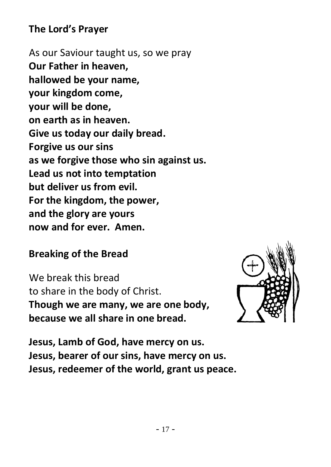#### **The Lord's Prayer**

As our Saviour taught us, so we pray **Our Father in heaven, hallowed be your name, your kingdom come, your will be done, on earth as in heaven. Give us today our daily bread. Forgive us our sins as we forgive those who sin against us. Lead us not into temptation but deliver us from evil. For the kingdom, the power, and the glory are yours now and for ever. Amen.**

#### **Breaking of the Bread**

We break this bread to share in the body of Christ. **Though we are many, we are one body, because we all share in one bread.**



**Jesus, Lamb of God, have mercy on us. Jesus, bearer of our sins, have mercy on us. Jesus, redeemer of the world, grant us peace.**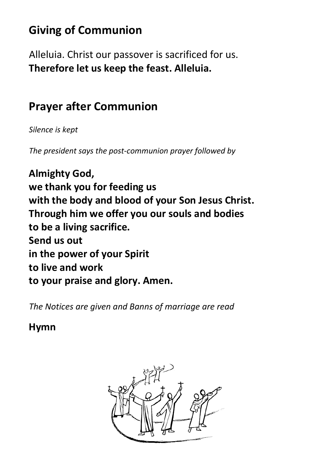## **Giving of Communion**

Alleluia. Christ our passover is sacrificed for us. **Therefore let us keep the feast. Alleluia.**

## **Prayer after Communion**

*Silence is kept*

*The president says the post-communion prayer followed by*

**Almighty God, we thank you for feeding us with the body and blood of your Son Jesus Christ. Through him we offer you our souls and bodies to be a living sacrifice. Send us out in the power of your Spirit to live and work to your praise and glory. Amen.**

*The Notices are given and Banns of marriage are read*

**Hymn**

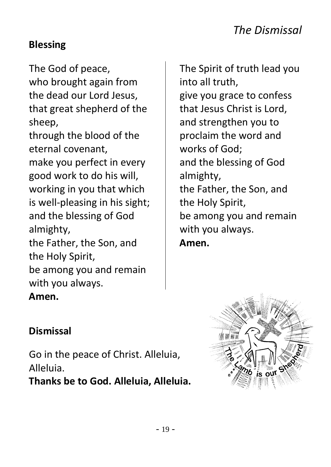#### **Blessing**

The God of peace, who brought again from the dead our Lord Jesus, that great shepherd of the sheep, through the blood of the eternal covenant, make you perfect in every good work to do his will, working in you that which is well-pleasing in his sight; and the blessing of God almighty, the Father, the Son, and the Holy Spirit, be among you and remain with you always. **Amen.**

The Spirit of truth lead you into all truth, give you grace to confess that Jesus Christ is Lord, and strengthen you to proclaim the word and works of God; and the blessing of God almighty, the Father, the Son, and the Holy Spirit, be among you and remain with you always. **Amen.**



Go in the peace of Christ. Alleluia, Alleluia.

**Thanks be to God. Alleluia, Alleluia.**